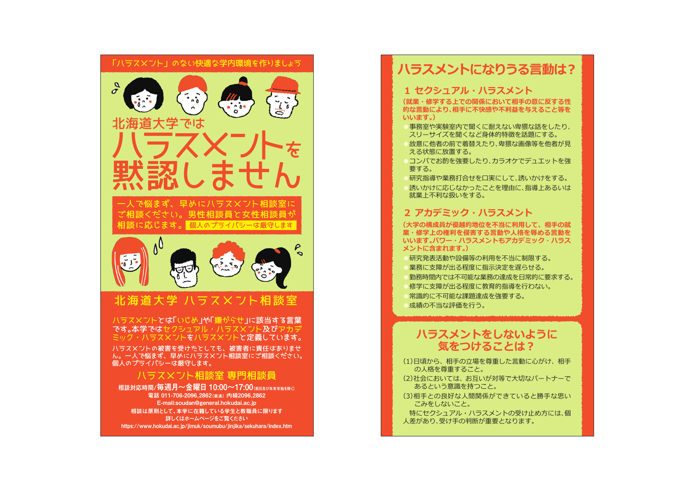

ん。一人で悩まず、早めにハラスメント相談室にご相談ください。 個人のプライバシーは厳守します。

## ハラスメント相談室 専門相談員

相談対応時間/毎週月~金曜日 10:00~17:00(約日本が年末年始を除く) - 1<br>雷話 011-706-2096,2862(直通) 内線2096,2862 E-mail:soudan@general.hokudai.ac.jp 相談は原則として、本学に在籍している学生と教職員に限ります 詳しくはホームページをご覧ください https://www.hokudai.ac.jp/jimuk/soumubu/jinjika/sekuhara/index.htm

## **1 セクシュアル・ハラスメント**

**(就業・修学する上での関係において相手の意に反する性 的な言動により、相手に不快感や不利益を与えること等を いいます。)**

事務室や実験室内で聞くに耐えない卑猥な話をしたり、 スリーサイズを聞くなど身体的特徴を話題にする。 ●故意に他者の前で着替えたり、卑猥な画像等を他者が見

える状態に放置する。

コンパでお酌を強要したり、カラオケでデュエットを強 要する。

研究指導や業務打合せを口実にして、誘いかけをする。

誘いかけに応じなかったことを理由に、指導上あるいは 就業上不利な扱いをする。

# **2 アカデミック・ハラスメント**

**(大学の構成員が優越的地位を不当に利用して、相手の就 業・修学上の権利を侵害する言動や人格を辱める言動を いいます。パワー・ハラスメントもアカデミック・ハラス メントに含まれます。)**

●研究発表活動や設備等の利用を不当に制限する。 業務に支障が出る程度に指示決定を遅らせる。 勤務時間内では不可能な業務の達成を日常的に要求する。 修学に支障が出る程度に教育的指導を行わない。 常識的に不可能な課題達成を強要する。 ●成績の不当な評価を行う。

# **ハラスメントをしないように 気をつけることは?**

- (1)日頃から、相手の立場を尊重した言動に心がけ、相手 の人格を尊重すること。
- (2)社会においては、お互いが対等で大切なパートナーで あるという意識を持つこと。
- (3)相手との良好な人間関係ができていると勝手な思い こみをしないこと。

 特にセクシュアル・ハラスメントの受け止め方には、個 人差があり、受け手の判断が重要となります。